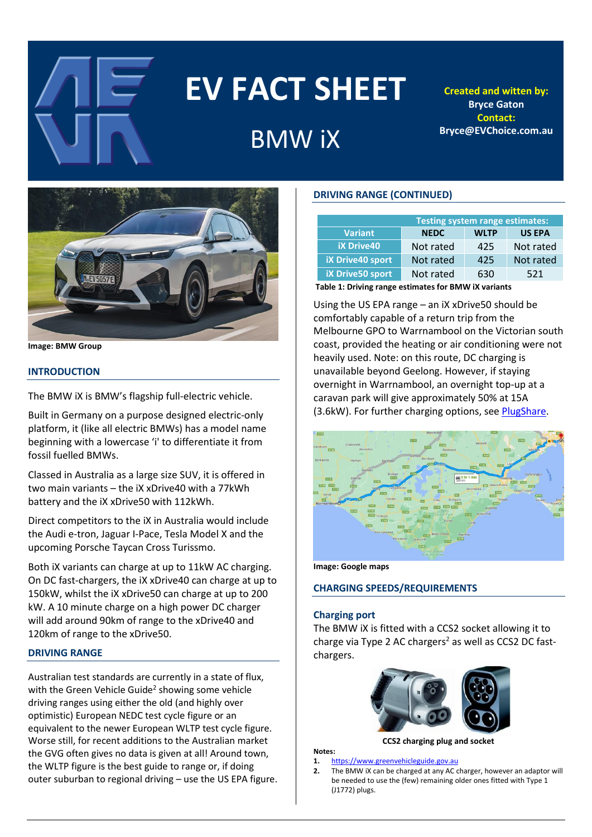

# **EV FACT SHEET**

## BMW iX

**Created and witten by: Bryce Gaton Contact: Bryce@EVChoice.com.au**



**Image: BMW Group**

#### **INTRODUCTION**

The BMW iX is BMW's flagship full-electric vehicle.

Built in Germany on a purpose designed electric-only platform, it (like all electric BMWs) has a model name beginning with a lowercase 'i' to differentiate it from fossil fuelled BMWs.

Classed in Australia as a large size SUV, it is offered in two main variants – the iX xDrive40 with a 77kWh battery and the iX xDrive50 with 112kWh.

Direct competitors to the iX in Australia would include the Audi e-tron, Jaguar I-Pace, Tesla Model X and the upcoming Porsche Taycan Cross Turissmo.

Both iX variants can charge at up to 11kW AC charging. On DC fast-chargers, the iX xDrive40 can charge at up to 150kW, whilst the iX xDrive50 can charge at up to 200 kW. A 10 minute charge on a high power DC charger will add around 90km of range to the xDrive40 and 120km of range to the xDrive50.

#### **DRIVING RANGE**

Australian test standards are currently in a state of flux, with the Green Vehicle Guide<sup>2</sup> showing some vehicle driving ranges using either the old (and highly over optimistic) European NEDC test cycle figure or an equivalent to the newer European WLTP test cycle figure. Worse still, for recent additions to the Australian market the GVG often gives no data is given at all! Around town, the WLTP figure is the best guide to range or, if doing outer suburban to regional driving – use the US EPA figure.

#### **DRIVING RANGE (CONTINUED)**

| <b>Testing system range estimates:</b>               |             |             |               |  |  |
|------------------------------------------------------|-------------|-------------|---------------|--|--|
| <b>Variant</b>                                       | <b>NEDC</b> | <b>WLTP</b> | <b>US EPA</b> |  |  |
| <b>iX Drive40</b>                                    | Not rated   | 425         | Not rated     |  |  |
| <b>iX Drive40 sport</b>                              | Not rated   | 425         | Not rated     |  |  |
| <b>iX Drive50 sport</b>                              | Not rated   | 630         | 521           |  |  |
| Table 4: Dairden nonna potimeter for DNAVI Wingdomto |             |             |               |  |  |

**Table 1: Driving range estimates for BMW iX variants**

Using the US EPA range – an iX xDrive50 should be comfortably capable of a return trip from the Melbourne GPO to Warrnambool on the Victorian south coast, provided the heating or air conditioning were not heavily used. Note: on this route, DC charging is unavailable beyond Geelong. However, if staying overnight in Warrnambool, an overnight top-up at a caravan park will give approximately 50% at 15A (3.6kW). For further charging options, se[e PlugShare.](https://www.plugshare.com/)



**Image: Google maps**

#### **CHARGING SPEEDS/REQUIREMENTS**

#### **Charging port**

**Notes:**

The BMW iX is fitted with a CCS2 socket allowing it to charge via Type 2 AC chargers<sup>2</sup> as well as CCS2 DC fastchargers.



**CCS2 charging plug and socket**

#### **1.** [https://www.greenvehicleguide.gov.au](https://www.greenvehicleguide.gov.au/)

**2.** The BMW iX can be charged at any AC charger, however an adaptor will be needed to use the (few) remaining older ones fitted with Type 1 (J1772) plugs.